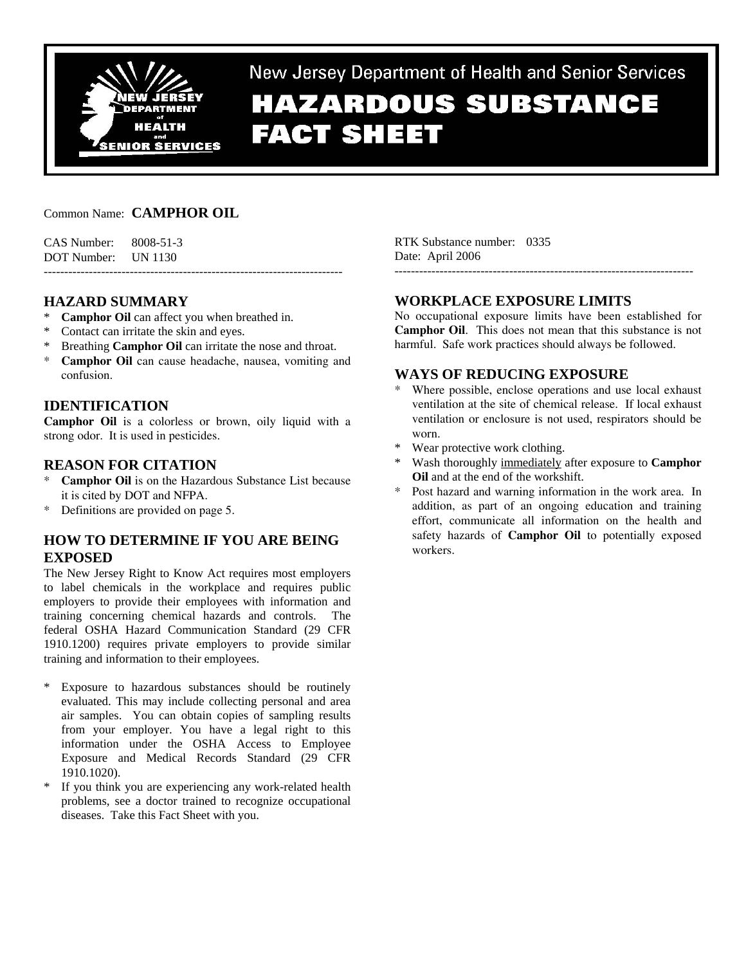

New Jersey Department of Health and Senior Services

# **HAZARDOUS SUBSTANCE FACT SHEET**

# Common Name: **CAMPHOR OIL**

CAS Number: 8008-51-3 DOT Number: UN 1130 -------------------------------------------------------------------------

# **HAZARD SUMMARY**

- \* **Camphor Oil** can affect you when breathed in.
- \* Contact can irritate the skin and eyes.
- Breathing **Camphor Oil** can irritate the nose and throat.
- \* **Camphor Oil** can cause headache, nausea, vomiting and confusion.

# **IDENTIFICATION**

**Camphor Oil** is a colorless or brown, oily liquid with a strong odor. It is used in pesticides.

### **REASON FOR CITATION**

- **Camphor Oil** is on the Hazardous Substance List because it is cited by DOT and NFPA.
- \* Definitions are provided on page 5.

# **HOW TO DETERMINE IF YOU ARE BEING EXPOSED**

The New Jersey Right to Know Act requires most employers to label chemicals in the workplace and requires public employers to provide their employees with information and training concerning chemical hazards and controls. The federal OSHA Hazard Communication Standard (29 CFR 1910.1200) requires private employers to provide similar training and information to their employees.

- \* Exposure to hazardous substances should be routinely evaluated. This may include collecting personal and area air samples. You can obtain copies of sampling results from your employer. You have a legal right to this information under the OSHA Access to Employee Exposure and Medical Records Standard (29 CFR 1910.1020).
- \* If you think you are experiencing any work-related health problems, see a doctor trained to recognize occupational diseases. Take this Fact Sheet with you.

RTK Substance number: 0335 Date: April 2006

# **WORKPLACE EXPOSURE LIMITS**

-------------------------------------------------------------------------

No occupational exposure limits have been established for **Camphor Oil**. This does not mean that this substance is not harmful. Safe work practices should always be followed.

# **WAYS OF REDUCING EXPOSURE**

- \* Where possible, enclose operations and use local exhaust ventilation at the site of chemical release. If local exhaust ventilation or enclosure is not used, respirators should be worn.
- \* Wear protective work clothing.
- \* Wash thoroughly immediately after exposure to **Camphor Oil** and at the end of the workshift.
- Post hazard and warning information in the work area. In addition, as part of an ongoing education and training effort, communicate all information on the health and safety hazards of **Camphor Oil** to potentially exposed workers.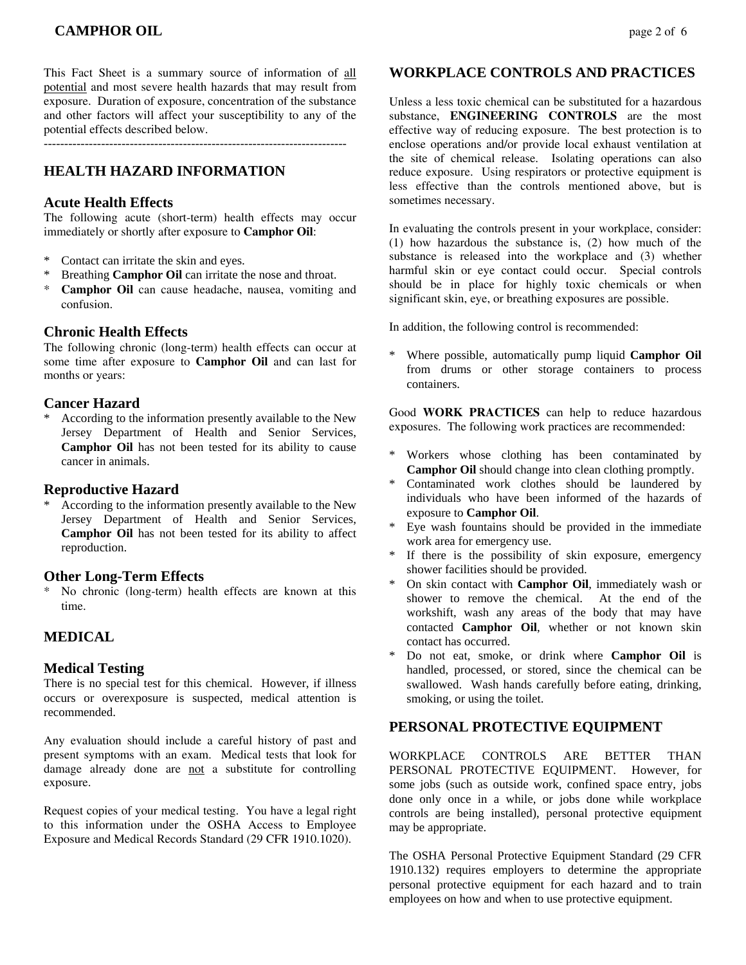This Fact Sheet is a summary source of information of all potential and most severe health hazards that may result from exposure. Duration of exposure, concentration of the substance and other factors will affect your susceptibility to any of the potential effects described below.

 $-$ 

# **HEALTH HAZARD INFORMATION**

### **Acute Health Effects**

The following acute (short-term) health effects may occur immediately or shortly after exposure to **Camphor Oil**:

- \* Contact can irritate the skin and eyes.
- \* Breathing **Camphor Oil** can irritate the nose and throat.
- \* **Camphor Oil** can cause headache, nausea, vomiting and confusion.

### **Chronic Health Effects**

The following chronic (long-term) health effects can occur at some time after exposure to **Camphor Oil** and can last for months or years:

### **Cancer Hazard**

According to the information presently available to the New Jersey Department of Health and Senior Services, **Camphor Oil** has not been tested for its ability to cause cancer in animals.

### **Reproductive Hazard**

According to the information presently available to the New Jersey Department of Health and Senior Services, **Camphor Oil** has not been tested for its ability to affect reproduction.

### **Other Long-Term Effects**

No chronic (long-term) health effects are known at this time.

# **MEDICAL**

### **Medical Testing**

There is no special test for this chemical. However, if illness occurs or overexposure is suspected, medical attention is recommended.

Any evaluation should include a careful history of past and present symptoms with an exam. Medical tests that look for damage already done are not a substitute for controlling exposure.

Request copies of your medical testing. You have a legal right to this information under the OSHA Access to Employee Exposure and Medical Records Standard (29 CFR 1910.1020).

### **WORKPLACE CONTROLS AND PRACTICES**

Unless a less toxic chemical can be substituted for a hazardous substance, **ENGINEERING CONTROLS** are the most effective way of reducing exposure. The best protection is to enclose operations and/or provide local exhaust ventilation at the site of chemical release. Isolating operations can also reduce exposure. Using respirators or protective equipment is less effective than the controls mentioned above, but is sometimes necessary.

In evaluating the controls present in your workplace, consider: (1) how hazardous the substance is, (2) how much of the substance is released into the workplace and (3) whether harmful skin or eye contact could occur. Special controls should be in place for highly toxic chemicals or when significant skin, eye, or breathing exposures are possible.

In addition, the following control is recommended:

\* Where possible, automatically pump liquid **Camphor Oil** from drums or other storage containers to process containers.

Good **WORK PRACTICES** can help to reduce hazardous exposures. The following work practices are recommended:

- \* Workers whose clothing has been contaminated by **Camphor Oil** should change into clean clothing promptly.
- Contaminated work clothes should be laundered by individuals who have been informed of the hazards of exposure to **Camphor Oil**.
- Eye wash fountains should be provided in the immediate work area for emergency use.
- If there is the possibility of skin exposure, emergency shower facilities should be provided.
- \* On skin contact with **Camphor Oil**, immediately wash or shower to remove the chemical. At the end of the workshift, wash any areas of the body that may have contacted **Camphor Oil**, whether or not known skin contact has occurred.
- Do not eat, smoke, or drink where **Camphor Oil** is handled, processed, or stored, since the chemical can be swallowed. Wash hands carefully before eating, drinking, smoking, or using the toilet.

### **PERSONAL PROTECTIVE EQUIPMENT**

WORKPLACE CONTROLS ARE BETTER THAN PERSONAL PROTECTIVE EQUIPMENT. However, for some jobs (such as outside work, confined space entry, jobs done only once in a while, or jobs done while workplace controls are being installed), personal protective equipment may be appropriate.

The OSHA Personal Protective Equipment Standard (29 CFR 1910.132) requires employers to determine the appropriate personal protective equipment for each hazard and to train employees on how and when to use protective equipment.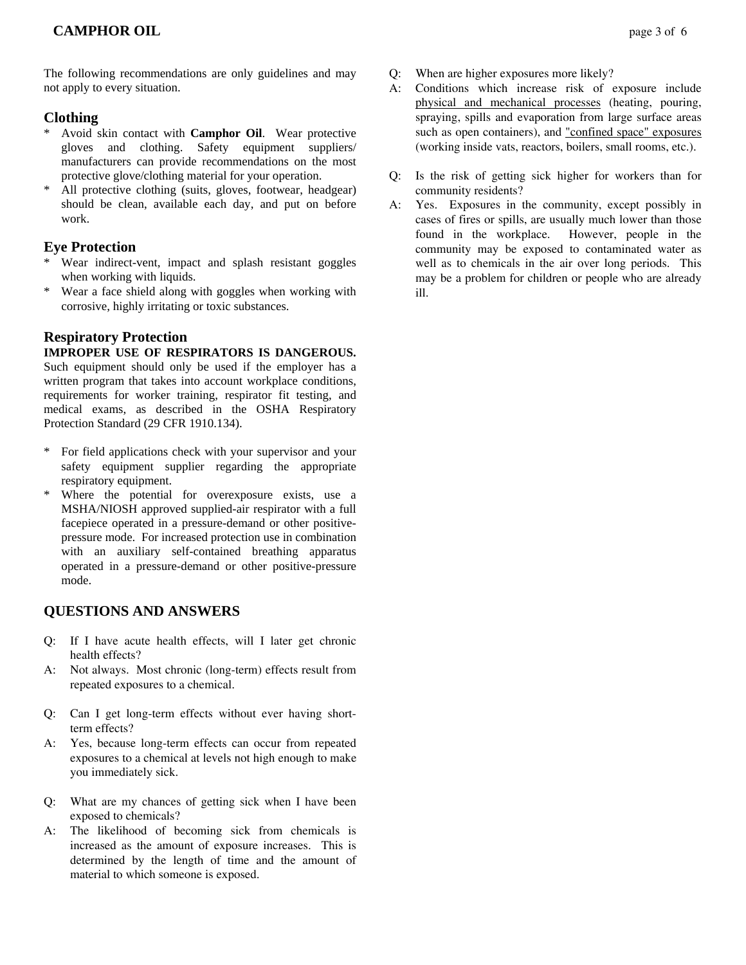The following recommendations are only guidelines and may not apply to every situation.

# **Clothing**

- \* Avoid skin contact with **Camphor Oil**. Wear protective gloves and clothing. Safety equipment suppliers/ manufacturers can provide recommendations on the most protective glove/clothing material for your operation.
- All protective clothing (suits, gloves, footwear, headgear) should be clean, available each day, and put on before work.

# **Eye Protection**

- \* Wear indirect-vent, impact and splash resistant goggles when working with liquids.
- \* Wear a face shield along with goggles when working with corrosive, highly irritating or toxic substances.

# **Respiratory Protection**

### **IMPROPER USE OF RESPIRATORS IS DANGEROUS.**

Such equipment should only be used if the employer has a written program that takes into account workplace conditions, requirements for worker training, respirator fit testing, and medical exams, as described in the OSHA Respiratory Protection Standard (29 CFR 1910.134).

- \* For field applications check with your supervisor and your safety equipment supplier regarding the appropriate respiratory equipment.
- \* Where the potential for overexposure exists, use a MSHA/NIOSH approved supplied-air respirator with a full facepiece operated in a pressure-demand or other positivepressure mode. For increased protection use in combination with an auxiliary self-contained breathing apparatus operated in a pressure-demand or other positive-pressure mode.

# **QUESTIONS AND ANSWERS**

- Q: If I have acute health effects, will I later get chronic health effects?
- A: Not always. Most chronic (long-term) effects result from repeated exposures to a chemical.
- Q: Can I get long-term effects without ever having shortterm effects?
- A: Yes, because long-term effects can occur from repeated exposures to a chemical at levels not high enough to make you immediately sick.
- Q: What are my chances of getting sick when I have been exposed to chemicals?
- A: The likelihood of becoming sick from chemicals is increased as the amount of exposure increases. This is determined by the length of time and the amount of material to which someone is exposed.
- Q: When are higher exposures more likely?
- A: Conditions which increase risk of exposure include physical and mechanical processes (heating, pouring, spraying, spills and evaporation from large surface areas such as open containers), and "confined space" exposures (working inside vats, reactors, boilers, small rooms, etc.).
- Q: Is the risk of getting sick higher for workers than for community residents?
- A: Yes. Exposures in the community, except possibly in cases of fires or spills, are usually much lower than those found in the workplace. However, people in the community may be exposed to contaminated water as well as to chemicals in the air over long periods. This may be a problem for children or people who are already ill.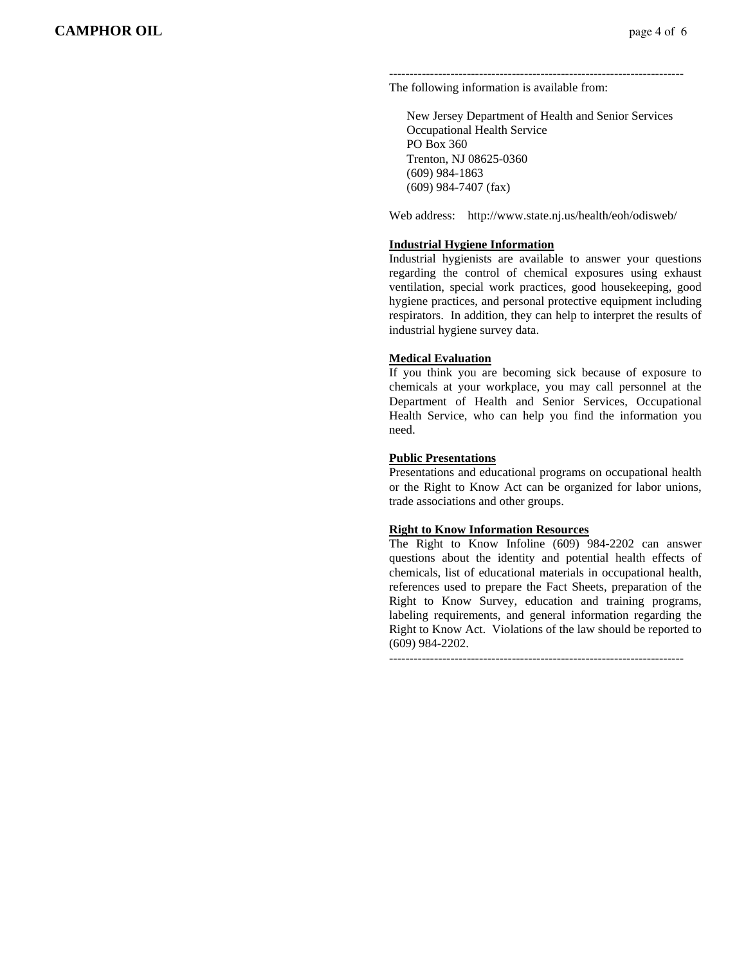------------------------------------------------------------------------ The following information is available from:

 New Jersey Department of Health and Senior Services Occupational Health Service PO Box 360 Trenton, NJ 08625-0360 (609) 984-1863 (609) 984-7407 (fax)

Web address: http://www.state.nj.us/health/eoh/odisweb/

### **Industrial Hygiene Information**

Industrial hygienists are available to answer your questions regarding the control of chemical exposures using exhaust ventilation, special work practices, good housekeeping, good hygiene practices, and personal protective equipment including respirators. In addition, they can help to interpret the results of industrial hygiene survey data.

### **Medical Evaluation**

If you think you are becoming sick because of exposure to chemicals at your workplace, you may call personnel at the Department of Health and Senior Services, Occupational Health Service, who can help you find the information you need.

### **Public Presentations**

Presentations and educational programs on occupational health or the Right to Know Act can be organized for labor unions, trade associations and other groups.

#### **Right to Know Information Resources**

The Right to Know Infoline (609) 984-2202 can answer questions about the identity and potential health effects of chemicals, list of educational materials in occupational health, references used to prepare the Fact Sheets, preparation of the Right to Know Survey, education and training programs, labeling requirements, and general information regarding the Right to Know Act. Violations of the law should be reported to (609) 984-2202.

 $-$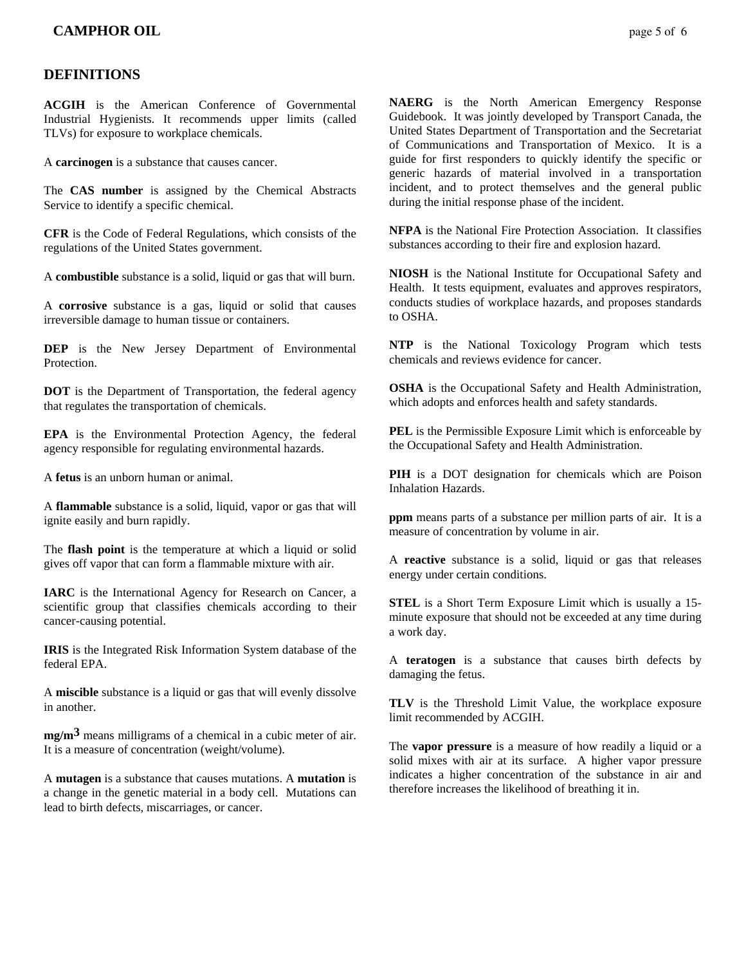# **DEFINITIONS**

**ACGIH** is the American Conference of Governmental Industrial Hygienists. It recommends upper limits (called TLVs) for exposure to workplace chemicals.

A **carcinogen** is a substance that causes cancer.

The **CAS number** is assigned by the Chemical Abstracts Service to identify a specific chemical.

**CFR** is the Code of Federal Regulations, which consists of the regulations of the United States government.

A **combustible** substance is a solid, liquid or gas that will burn.

A **corrosive** substance is a gas, liquid or solid that causes irreversible damage to human tissue or containers.

**DEP** is the New Jersey Department of Environmental **Protection** 

**DOT** is the Department of Transportation, the federal agency that regulates the transportation of chemicals.

**EPA** is the Environmental Protection Agency, the federal agency responsible for regulating environmental hazards.

A **fetus** is an unborn human or animal.

A **flammable** substance is a solid, liquid, vapor or gas that will ignite easily and burn rapidly.

The **flash point** is the temperature at which a liquid or solid gives off vapor that can form a flammable mixture with air.

**IARC** is the International Agency for Research on Cancer, a scientific group that classifies chemicals according to their cancer-causing potential.

**IRIS** is the Integrated Risk Information System database of the federal EPA.

A **miscible** substance is a liquid or gas that will evenly dissolve in another.

**mg/m3** means milligrams of a chemical in a cubic meter of air. It is a measure of concentration (weight/volume).

A **mutagen** is a substance that causes mutations. A **mutation** is a change in the genetic material in a body cell. Mutations can lead to birth defects, miscarriages, or cancer.

**NAERG** is the North American Emergency Response Guidebook. It was jointly developed by Transport Canada, the United States Department of Transportation and the Secretariat of Communications and Transportation of Mexico. It is a guide for first responders to quickly identify the specific or generic hazards of material involved in a transportation incident, and to protect themselves and the general public during the initial response phase of the incident.

**NFPA** is the National Fire Protection Association. It classifies substances according to their fire and explosion hazard.

**NIOSH** is the National Institute for Occupational Safety and Health. It tests equipment, evaluates and approves respirators, conducts studies of workplace hazards, and proposes standards to OSHA.

**NTP** is the National Toxicology Program which tests chemicals and reviews evidence for cancer.

**OSHA** is the Occupational Safety and Health Administration, which adopts and enforces health and safety standards.

**PEL** is the Permissible Exposure Limit which is enforceable by the Occupational Safety and Health Administration.

**PIH** is a DOT designation for chemicals which are Poison Inhalation Hazards.

**ppm** means parts of a substance per million parts of air. It is a measure of concentration by volume in air.

A **reactive** substance is a solid, liquid or gas that releases energy under certain conditions.

**STEL** is a Short Term Exposure Limit which is usually a 15 minute exposure that should not be exceeded at any time during a work day.

A **teratogen** is a substance that causes birth defects by damaging the fetus.

**TLV** is the Threshold Limit Value, the workplace exposure limit recommended by ACGIH.

The **vapor pressure** is a measure of how readily a liquid or a solid mixes with air at its surface. A higher vapor pressure indicates a higher concentration of the substance in air and therefore increases the likelihood of breathing it in.